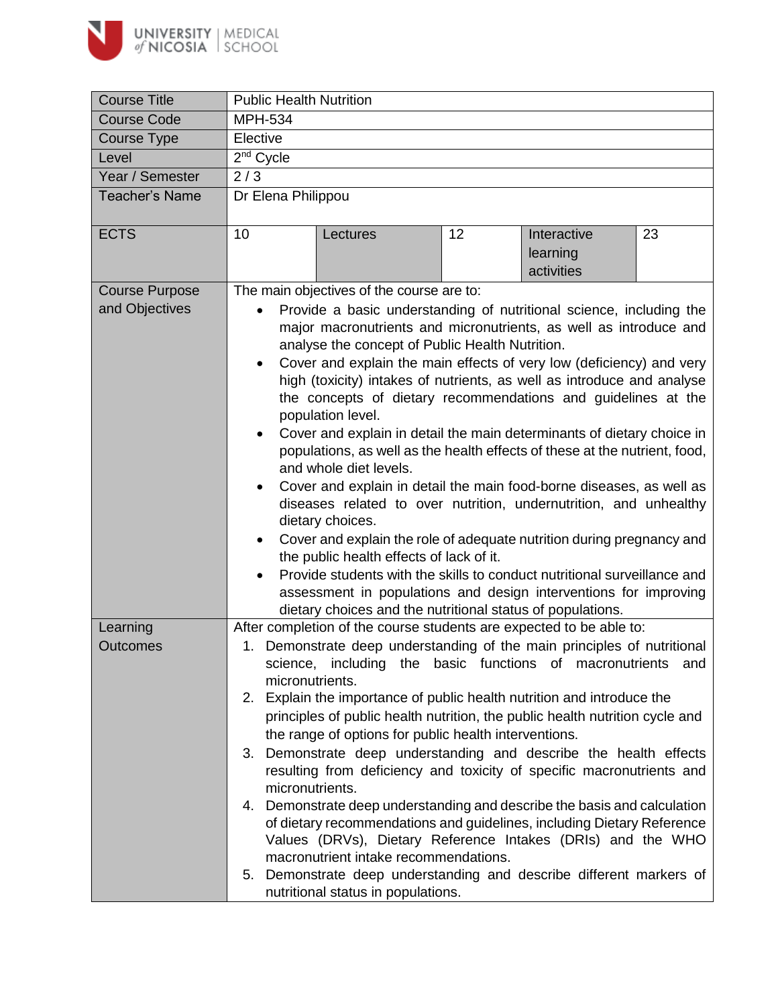

| <b>Course Title</b>                     | <b>Public Health Nutrition</b>                                                                                                                                                                                                                                                                                                                                                                                                                                                                                                                                                                                                                                                                                                                                                                                                                                                                                                                                                                                                                                                                                                                       |                                                                                                                                                                                                                                                                                                                                                                                                                                                                                                                                                                                                                                                                                                                                                                                                                                                                                                                                                                                                                      |    |                                       |     |  |
|-----------------------------------------|------------------------------------------------------------------------------------------------------------------------------------------------------------------------------------------------------------------------------------------------------------------------------------------------------------------------------------------------------------------------------------------------------------------------------------------------------------------------------------------------------------------------------------------------------------------------------------------------------------------------------------------------------------------------------------------------------------------------------------------------------------------------------------------------------------------------------------------------------------------------------------------------------------------------------------------------------------------------------------------------------------------------------------------------------------------------------------------------------------------------------------------------------|----------------------------------------------------------------------------------------------------------------------------------------------------------------------------------------------------------------------------------------------------------------------------------------------------------------------------------------------------------------------------------------------------------------------------------------------------------------------------------------------------------------------------------------------------------------------------------------------------------------------------------------------------------------------------------------------------------------------------------------------------------------------------------------------------------------------------------------------------------------------------------------------------------------------------------------------------------------------------------------------------------------------|----|---------------------------------------|-----|--|
| <b>Course Code</b>                      | <b>MPH-534</b>                                                                                                                                                                                                                                                                                                                                                                                                                                                                                                                                                                                                                                                                                                                                                                                                                                                                                                                                                                                                                                                                                                                                       |                                                                                                                                                                                                                                                                                                                                                                                                                                                                                                                                                                                                                                                                                                                                                                                                                                                                                                                                                                                                                      |    |                                       |     |  |
| Course Type                             | Elective                                                                                                                                                                                                                                                                                                                                                                                                                                                                                                                                                                                                                                                                                                                                                                                                                                                                                                                                                                                                                                                                                                                                             |                                                                                                                                                                                                                                                                                                                                                                                                                                                                                                                                                                                                                                                                                                                                                                                                                                                                                                                                                                                                                      |    |                                       |     |  |
| Level                                   | $2nd$ Cycle                                                                                                                                                                                                                                                                                                                                                                                                                                                                                                                                                                                                                                                                                                                                                                                                                                                                                                                                                                                                                                                                                                                                          |                                                                                                                                                                                                                                                                                                                                                                                                                                                                                                                                                                                                                                                                                                                                                                                                                                                                                                                                                                                                                      |    |                                       |     |  |
| Year / Semester                         | 2/3                                                                                                                                                                                                                                                                                                                                                                                                                                                                                                                                                                                                                                                                                                                                                                                                                                                                                                                                                                                                                                                                                                                                                  |                                                                                                                                                                                                                                                                                                                                                                                                                                                                                                                                                                                                                                                                                                                                                                                                                                                                                                                                                                                                                      |    |                                       |     |  |
| <b>Teacher's Name</b>                   | Dr Elena Philippou                                                                                                                                                                                                                                                                                                                                                                                                                                                                                                                                                                                                                                                                                                                                                                                                                                                                                                                                                                                                                                                                                                                                   |                                                                                                                                                                                                                                                                                                                                                                                                                                                                                                                                                                                                                                                                                                                                                                                                                                                                                                                                                                                                                      |    |                                       |     |  |
| <b>ECTS</b>                             | 10                                                                                                                                                                                                                                                                                                                                                                                                                                                                                                                                                                                                                                                                                                                                                                                                                                                                                                                                                                                                                                                                                                                                                   | Lectures                                                                                                                                                                                                                                                                                                                                                                                                                                                                                                                                                                                                                                                                                                                                                                                                                                                                                                                                                                                                             | 12 | Interactive<br>learning<br>activities | 23  |  |
| <b>Course Purpose</b><br>and Objectives | The main objectives of the course are to:<br>Provide a basic understanding of nutritional science, including the<br>major macronutrients and micronutrients, as well as introduce and<br>analyse the concept of Public Health Nutrition.<br>Cover and explain the main effects of very low (deficiency) and very<br>$\bullet$<br>high (toxicity) intakes of nutrients, as well as introduce and analyse<br>the concepts of dietary recommendations and guidelines at the<br>population level.<br>Cover and explain in detail the main determinants of dietary choice in<br>$\bullet$<br>populations, as well as the health effects of these at the nutrient, food,<br>and whole diet levels.<br>Cover and explain in detail the main food-borne diseases, as well as<br>٠<br>diseases related to over nutrition, undernutrition, and unhealthy<br>dietary choices.<br>Cover and explain the role of adequate nutrition during pregnancy and<br>$\bullet$<br>the public health effects of lack of it.<br>Provide students with the skills to conduct nutritional surveillance and<br>assessment in populations and design interventions for improving |                                                                                                                                                                                                                                                                                                                                                                                                                                                                                                                                                                                                                                                                                                                                                                                                                                                                                                                                                                                                                      |    |                                       |     |  |
| Learning<br><b>Outcomes</b>             | micronutrients.<br>micronutrients.                                                                                                                                                                                                                                                                                                                                                                                                                                                                                                                                                                                                                                                                                                                                                                                                                                                                                                                                                                                                                                                                                                                   | dietary choices and the nutritional status of populations.<br>After completion of the course students are expected to be able to:<br>1. Demonstrate deep understanding of the main principles of nutritional<br>science, including the basic functions of macronutrients<br>2. Explain the importance of public health nutrition and introduce the<br>principles of public health nutrition, the public health nutrition cycle and<br>the range of options for public health interventions.<br>3. Demonstrate deep understanding and describe the health effects<br>resulting from deficiency and toxicity of specific macronutrients and<br>4. Demonstrate deep understanding and describe the basis and calculation<br>of dietary recommendations and guidelines, including Dietary Reference<br>Values (DRVs), Dietary Reference Intakes (DRIs) and the WHO<br>macronutrient intake recommendations.<br>5. Demonstrate deep understanding and describe different markers of<br>nutritional status in populations. |    |                                       | and |  |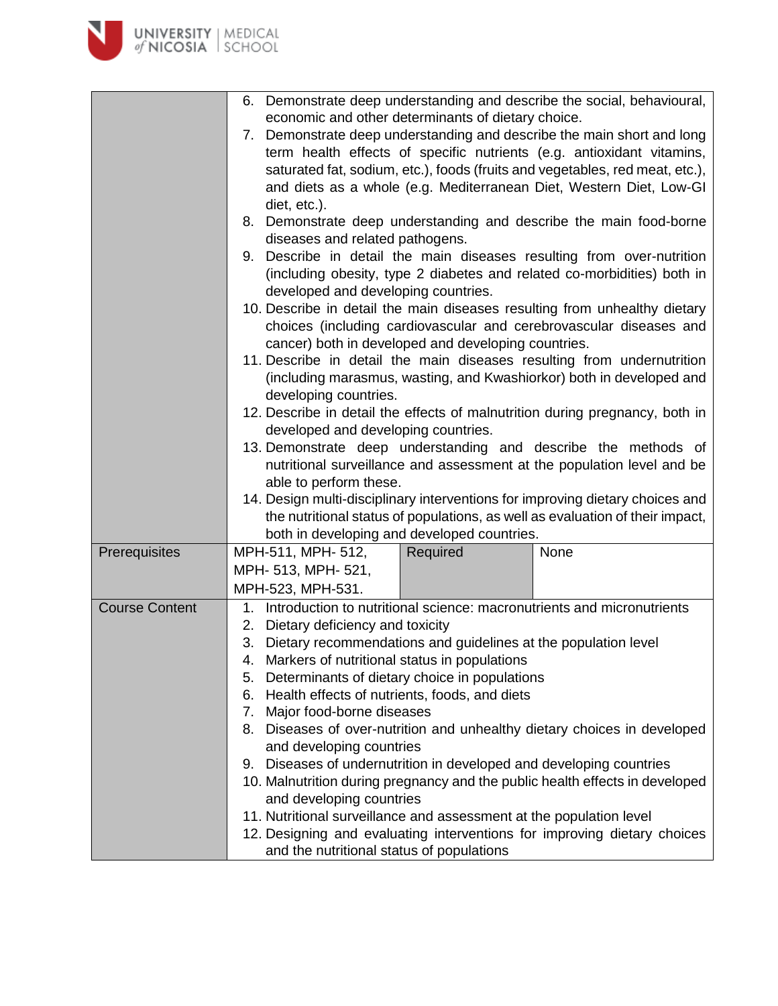|                       | Demonstrate deep understanding and describe the social, behavioural,<br>6.<br>economic and other determinants of dietary choice.<br>7. Demonstrate deep understanding and describe the main short and long<br>term health effects of specific nutrients (e.g. antioxidant vitamins,<br>saturated fat, sodium, etc.), foods (fruits and vegetables, red meat, etc.),<br>and diets as a whole (e.g. Mediterranean Diet, Western Diet, Low-GI<br>diet, etc.).<br>8. Demonstrate deep understanding and describe the main food-borne<br>diseases and related pathogens.<br>9. Describe in detail the main diseases resulting from over-nutrition<br>(including obesity, type 2 diabetes and related co-morbidities) both in<br>developed and developing countries.<br>10. Describe in detail the main diseases resulting from unhealthy dietary<br>choices (including cardiovascular and cerebrovascular diseases and<br>cancer) both in developed and developing countries.<br>11. Describe in detail the main diseases resulting from undernutrition<br>(including marasmus, wasting, and Kwashiorkor) both in developed and<br>developing countries.<br>12. Describe in detail the effects of malnutrition during pregnancy, both in<br>developed and developing countries.<br>13. Demonstrate deep understanding and describe the methods of<br>nutritional surveillance and assessment at the population level and be<br>able to perform these.<br>14. Design multi-disciplinary interventions for improving dietary choices and<br>the nutritional status of populations, as well as evaluation of their impact,<br>both in developing and developed countries. |          |                                                                                                                                                                                                                                      |  |  |
|-----------------------|-------------------------------------------------------------------------------------------------------------------------------------------------------------------------------------------------------------------------------------------------------------------------------------------------------------------------------------------------------------------------------------------------------------------------------------------------------------------------------------------------------------------------------------------------------------------------------------------------------------------------------------------------------------------------------------------------------------------------------------------------------------------------------------------------------------------------------------------------------------------------------------------------------------------------------------------------------------------------------------------------------------------------------------------------------------------------------------------------------------------------------------------------------------------------------------------------------------------------------------------------------------------------------------------------------------------------------------------------------------------------------------------------------------------------------------------------------------------------------------------------------------------------------------------------------------------------------------------------------------------------------------------------------------------|----------|--------------------------------------------------------------------------------------------------------------------------------------------------------------------------------------------------------------------------------------|--|--|
| Prerequisites         | MPH-511, MPH- 512,<br>MPH- 513, MPH- 521,<br>MPH-523, MPH-531.                                                                                                                                                                                                                                                                                                                                                                                                                                                                                                                                                                                                                                                                                                                                                                                                                                                                                                                                                                                                                                                                                                                                                                                                                                                                                                                                                                                                                                                                                                                                                                                                    | Required | None                                                                                                                                                                                                                                 |  |  |
| <b>Course Content</b> | 1. Introduction to nutritional science: macronutrients and micronutrients<br>Dietary deficiency and toxicity<br>2.<br>3. Dietary recommendations and guidelines at the population level<br>4. Markers of nutritional status in populations<br>5. Determinants of dietary choice in populations<br>6. Health effects of nutrients, foods, and diets<br>7. Major food-borne diseases<br>and developing countries<br>9. Diseases of undernutrition in developed and developing countries<br>and developing countries<br>11. Nutritional surveillance and assessment at the population level<br>and the nutritional status of populations                                                                                                                                                                                                                                                                                                                                                                                                                                                                                                                                                                                                                                                                                                                                                                                                                                                                                                                                                                                                                             |          | 8. Diseases of over-nutrition and unhealthy dietary choices in developed<br>10. Malnutrition during pregnancy and the public health effects in developed<br>12. Designing and evaluating interventions for improving dietary choices |  |  |

 $\blacktriangleright$ 

**UNIVERSITY** | MEDICAL<br>of NICOSIA | SCHOOL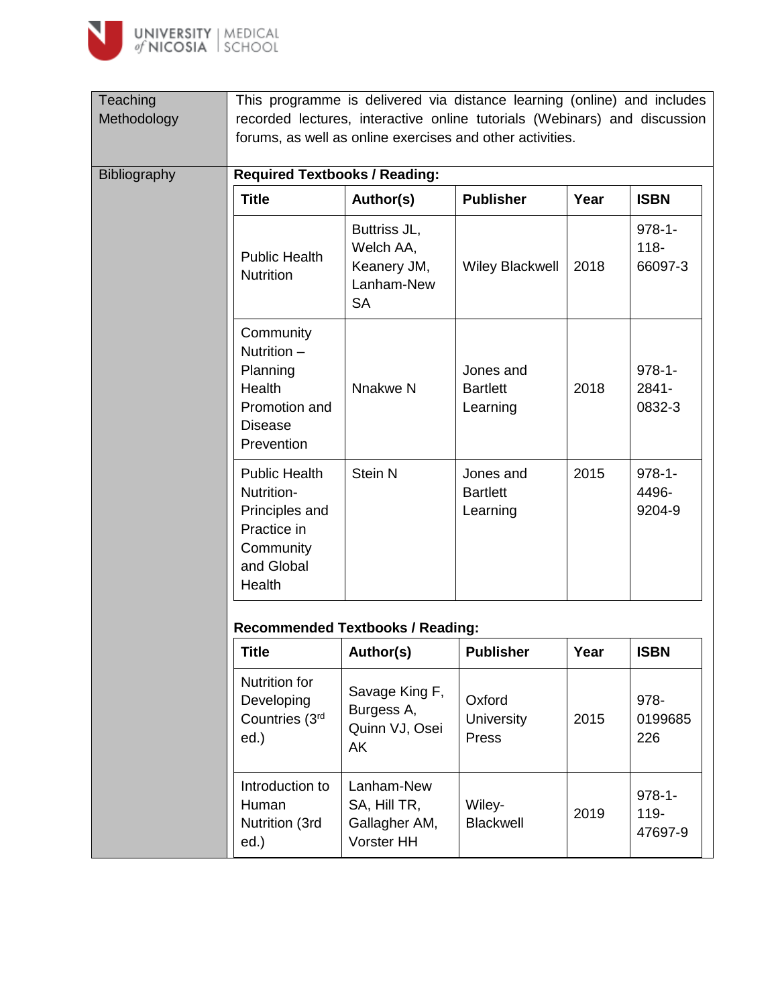

| Teaching<br>Methodology | This programme is delivered via distance learning (online) and includes<br>recorded lectures, interactive online tutorials (Webinars) and discussion<br>forums, as well as online exercises and other activities. |                                                                     |                                          |      |                                   |
|-------------------------|-------------------------------------------------------------------------------------------------------------------------------------------------------------------------------------------------------------------|---------------------------------------------------------------------|------------------------------------------|------|-----------------------------------|
| <b>Bibliography</b>     | <b>Required Textbooks / Reading:</b>                                                                                                                                                                              |                                                                     |                                          |      |                                   |
|                         | <b>Title</b>                                                                                                                                                                                                      | Author(s)                                                           | <b>Publisher</b>                         | Year | <b>ISBN</b>                       |
|                         | <b>Public Health</b><br><b>Nutrition</b>                                                                                                                                                                          | Buttriss JL,<br>Welch AA,<br>Keanery JM,<br>Lanham-New<br><b>SA</b> | <b>Wiley Blackwell</b>                   | 2018 | $978 - 1 -$<br>$118 -$<br>66097-3 |
|                         | Community<br>Nutrition $-$<br>Planning<br><b>Health</b><br>Promotion and<br>Disease<br>Prevention                                                                                                                 | Nnakwe N                                                            | Jones and<br><b>Bartlett</b><br>Learning | 2018 | $978 - 1 -$<br>2841-<br>0832-3    |
|                         | <b>Public Health</b><br>Nutrition-                                                                                                                                                                                | Stein N                                                             | Jones and<br><b>Bartlett</b>             | 2015 | $978 - 1 -$<br>4496-              |

## **Recommended Textbooks / Reading:**

Principles and Practice in **Community** and Global Health

| <b>Title</b>                                             | Author(s)                                                 | <b>Publisher</b>              | Year | <b>ISBN</b>                       |
|----------------------------------------------------------|-----------------------------------------------------------|-------------------------------|------|-----------------------------------|
| Nutrition for<br>Developing<br>Countries (3rd<br>$ed.$ ) | Savage King F,<br>Burgess A,<br>Quinn VJ, Osei<br>AK      | Oxford<br>University<br>Press | 2015 | 978-<br>0199685<br>226            |
| Introduction to<br>Human<br>Nutrition (3rd<br>$ed.$ )    | Lanham-New<br>SA, Hill TR,<br>Gallagher AM,<br>Vorster HH | Wiley-<br><b>Blackwell</b>    | 2019 | $978 - 1 -$<br>$119 -$<br>47697-9 |

Learning

9204-9